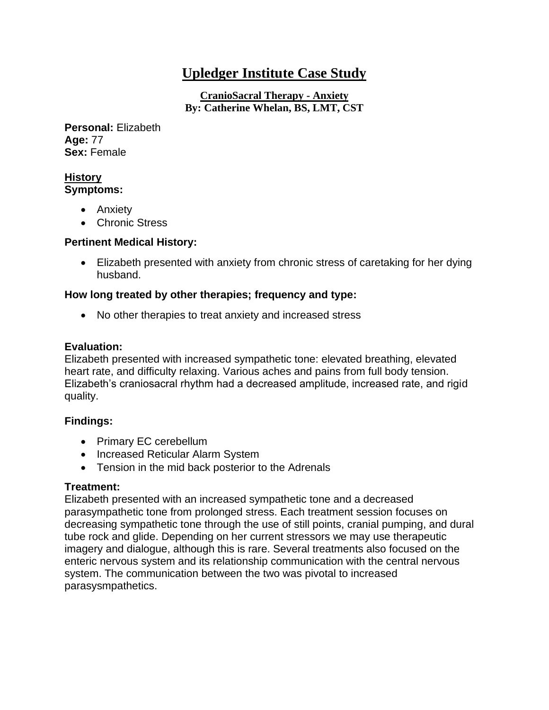# **Upledger Institute Case Study**

**CranioSacral Therapy - Anxiety By: Catherine Whelan, BS, LMT, CST**

**Personal:** Elizabeth **Age:** 77 **Sex:** Female

#### **History Symptoms:**

- Anxiety
- Chronic Stress

## **Pertinent Medical History:**

• Elizabeth presented with anxiety from chronic stress of caretaking for her dying husband.

## **How long treated by other therapies; frequency and type:**

• No other therapies to treat anxiety and increased stress

## **Evaluation:**

Elizabeth presented with increased sympathetic tone: elevated breathing, elevated heart rate, and difficulty relaxing. Various aches and pains from full body tension. Elizabeth's craniosacral rhythm had a decreased amplitude, increased rate, and rigid quality.

# **Findings:**

- Primary EC cerebellum
- Increased Reticular Alarm System
- Tension in the mid back posterior to the Adrenals

# **Treatment:**

Elizabeth presented with an increased sympathetic tone and a decreased parasympathetic tone from prolonged stress. Each treatment session focuses on decreasing sympathetic tone through the use of still points, cranial pumping, and dural tube rock and glide. Depending on her current stressors we may use therapeutic imagery and dialogue, although this is rare. Several treatments also focused on the enteric nervous system and its relationship communication with the central nervous system. The communication between the two was pivotal to increased parasysmpathetics.